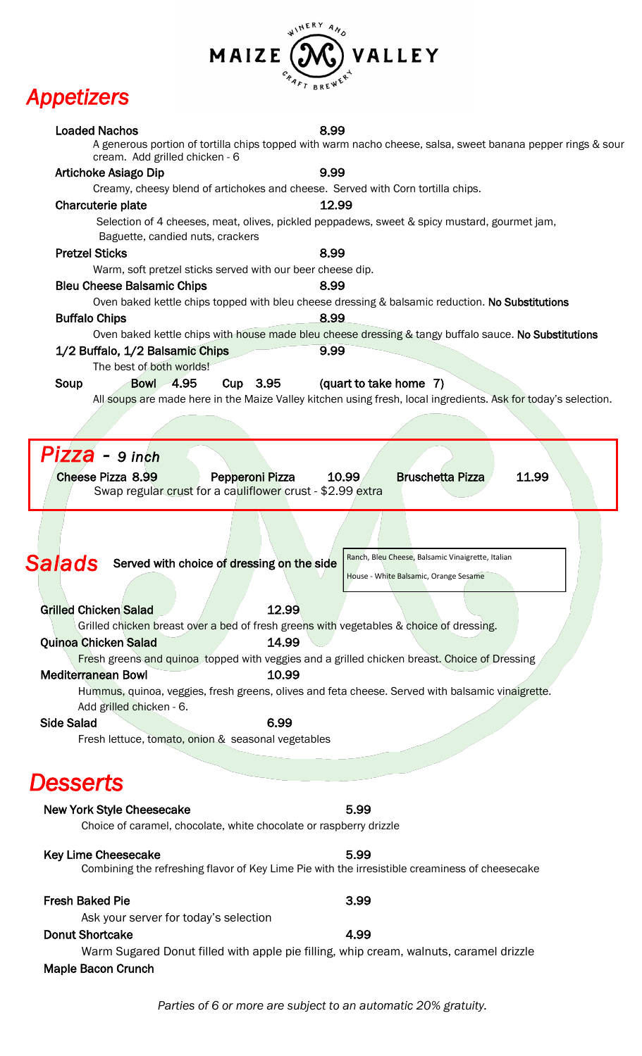#### WINERY AND  $\bm{\Theta}$ VALLEY MAIZE CAAFT BREWER

# *Appetizers*

| <b>Loaded Nachos</b><br>cream. Add grilled chicken - 6                                           | 8.99<br>A generous portion of tortilla chips topped with warm nacho cheese, salsa, sweet banana pepper rings & sour |
|--------------------------------------------------------------------------------------------------|---------------------------------------------------------------------------------------------------------------------|
| <b>Artichoke Asiago Dip</b>                                                                      | 9.99                                                                                                                |
| Creamy, cheesy blend of artichokes and cheese. Served with Corn tortilla chips.                  |                                                                                                                     |
| Charcuterie plate                                                                                | 12.99                                                                                                               |
| Baguette, candied nuts, crackers                                                                 | Selection of 4 cheeses, meat, olives, pickled peppadews, sweet & spicy mustard, gourmet jam,                        |
| <b>Pretzel Sticks</b>                                                                            | 8.99                                                                                                                |
| Warm, soft pretzel sticks served with our beer cheese dip.                                       |                                                                                                                     |
| <b>Bleu Cheese Balsamic Chips</b>                                                                | 8.99                                                                                                                |
|                                                                                                  | Oven baked kettle chips topped with bleu cheese dressing & balsamic reduction. No Substitutions                     |
| <b>Buffalo Chips</b>                                                                             | 8.99<br>Oven baked kettle chips with house made bleu cheese dressing & tangy buffalo sauce. No Substitutions        |
| 1/2 Buffalo, 1/2 Balsamic Chips                                                                  | 9.99                                                                                                                |
| The best of both worlds!                                                                         |                                                                                                                     |
| <b>Bowl 4.95</b><br>Cup 3.95<br>Soup                                                             | (quart to take home 7)                                                                                              |
|                                                                                                  | All soups are made here in the Maize Valley kitchen using fresh, local ingredients. Ask for today's selection.      |
|                                                                                                  |                                                                                                                     |
|                                                                                                  |                                                                                                                     |
|                                                                                                  |                                                                                                                     |
| Pizza - 9 inch                                                                                   |                                                                                                                     |
| <b>Cheese Pizza 8.99</b><br>Pepperoni Pizza                                                      | <b>Bruschetta Pizza</b><br>11.99<br>10.99                                                                           |
| Swap regular crust for a cauliflower crust - \$2.99 extra                                        |                                                                                                                     |
|                                                                                                  |                                                                                                                     |
|                                                                                                  |                                                                                                                     |
|                                                                                                  |                                                                                                                     |
| Salads<br>Served with choice of dressing on the side                                             | Ranch, Bleu Cheese, Balsamic Vinaigrette, Italian                                                                   |
|                                                                                                  | House - White Balsamic, Orange Sesame                                                                               |
|                                                                                                  |                                                                                                                     |
| <b>Grilled Chicken Salad</b><br>12.99                                                            |                                                                                                                     |
| Grilled chicken breast over a bed of fresh greens with vegetables & choice of dressing.          |                                                                                                                     |
| 14.99<br><b>Quinoa Chicken Salad</b>                                                             |                                                                                                                     |
| Fresh greens and quinoa topped with veggies and a grilled chicken breast. Choice of Dressing     |                                                                                                                     |
| 10.99<br><b>Mediterranean Bowl</b>                                                               |                                                                                                                     |
| Hummus, quinoa, veggies, fresh greens, olives and feta cheese. Served with balsamic vinaigrette. |                                                                                                                     |
| Add grilled chicken - 6.                                                                         |                                                                                                                     |
| <b>Side Salad</b><br>6.99                                                                        |                                                                                                                     |
| Fresh lettuce, tomato, onion & seasonal vegetables                                               |                                                                                                                     |
|                                                                                                  |                                                                                                                     |
|                                                                                                  |                                                                                                                     |
| <b>Desserts</b>                                                                                  |                                                                                                                     |
| <b>New York Style Cheesecake</b>                                                                 | 5.99                                                                                                                |
| Choice of caramel, chocolate, white chocolate or raspberry drizzle                               |                                                                                                                     |
|                                                                                                  |                                                                                                                     |
| <b>Key Lime Cheesecake</b>                                                                       | 5.99                                                                                                                |
| Combining the refreshing flavor of Key Lime Pie with the irresistible creaminess of cheesecake   |                                                                                                                     |
|                                                                                                  |                                                                                                                     |
| <b>Fresh Baked Pie</b>                                                                           | 3.99                                                                                                                |
| Ask your server for today's selection                                                            |                                                                                                                     |
| <b>Donut Shortcake</b>                                                                           | 4.99                                                                                                                |
| Warm Sugared Donut filled with apple pie filling, whip cream, walnuts, caramel drizzle           |                                                                                                                     |
| <b>Maple Bacon Crunch</b>                                                                        |                                                                                                                     |
|                                                                                                  |                                                                                                                     |
|                                                                                                  |                                                                                                                     |

*Parties of 6 or more are subject to an automatic 20% gratuity.*